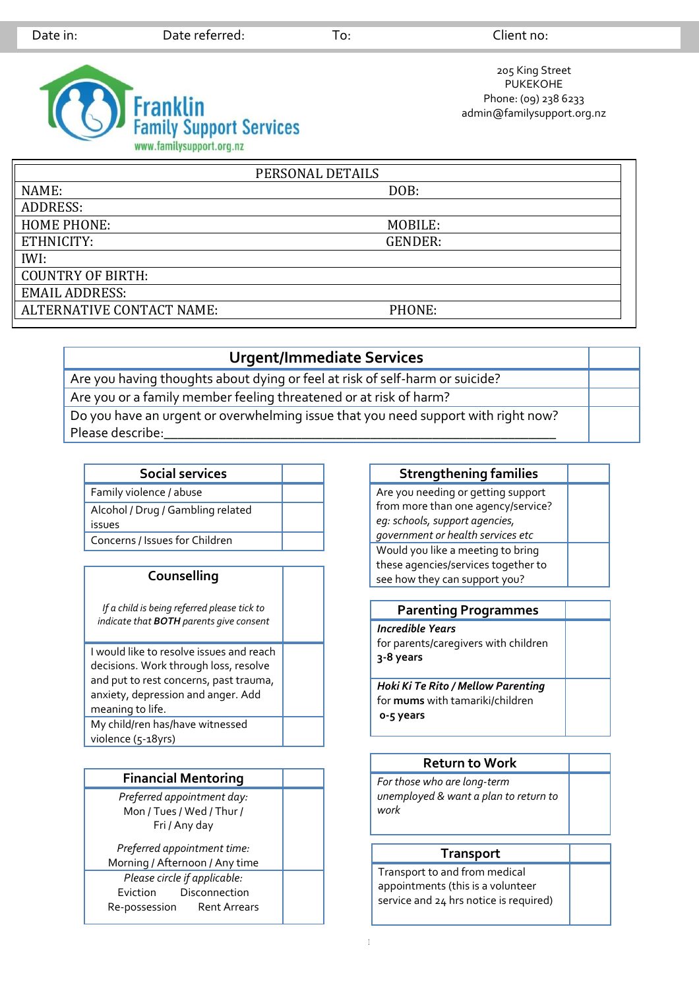

205 King Street PUKEKOHE Phone: (09) 238 6233 admin@familysupport.org.nz

| PERSONAL DETAILS          |                |  |  |
|---------------------------|----------------|--|--|
| NAME:                     | DOB:           |  |  |
| <b>ADDRESS:</b>           |                |  |  |
| <b>HOME PHONE:</b>        | MOBILE:        |  |  |
| ETHNICITY:                | <b>GENDER:</b> |  |  |
| IWI:                      |                |  |  |
| <b>COUNTRY OF BIRTH:</b>  |                |  |  |
| <b>EMAIL ADDRESS:</b>     |                |  |  |
| ALTERNATIVE CONTACT NAME: | PHONE:         |  |  |

## **Urgent/Immediate Services**

Are you having thoughts about dying or feel at risk of self-harm or suicide? Are you or a family member feeling threatened or at risk of harm? Do you have an urgent or overwhelming issue that you need support with right now? Please describe:

| Social services                             |  |
|---------------------------------------------|--|
| Family violence / abuse                     |  |
| Alcohol / Drug / Gambling related<br>issues |  |
| Concerns / Issues for Children              |  |

## **Counselling**

*If a child is being referred please tick to indicate that BOTH parents give consent*

I would like to resolve issues and reach decisions. Work through loss, resolve and put to rest concerns, past trauma, anxiety, depression and anger. Add meaning to life. My child/ren has/have witnessed violence (5-18yrs)

| <b>Financial Mentoring</b>     |  |
|--------------------------------|--|
| Preferred appointment day:     |  |
| Mon / Tues / Wed / Thur /      |  |
| Fri / Any day                  |  |
| Preferred appointment time:    |  |
| Morning / Afternoon / Any time |  |
| Please circle if applicable:   |  |
| Eviction Disconnection         |  |
| Re-possession Rent Arrears     |  |
|                                |  |

## **Strengthening families** Are you needing or getting support

from more than one agency/service? *eg: schools, support agencies, government or health services etc* Would you like a meeting to bring these agencies/services together to see how they can support you?

| <b>Parenting Programmes</b>                                                               |  |
|-------------------------------------------------------------------------------------------|--|
| <b>Incredible Years</b><br>for parents/caregivers with children<br>3-8 years              |  |
| Hoki Ki Te Rito / Mellow Parenting<br>for <b>mums</b> with tamariki/children<br>o-5 years |  |

# **Return to Work** *For those who are long-term unemployed & want a plan to return to work*

### **Transport**

Transport to and from medical appointments (this is a volunteer service and 24 hrs notice is required)